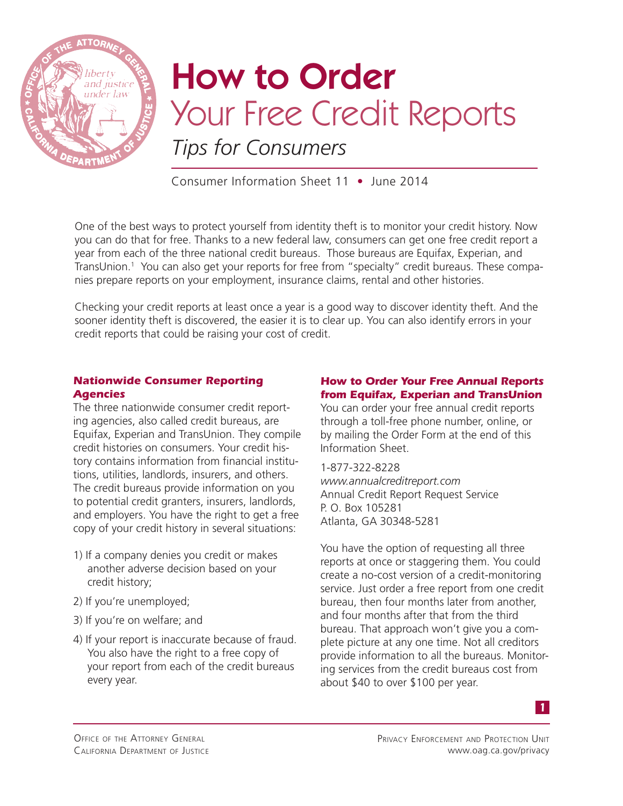

# How to Order Your Free Credit Reports *Tips for Consumers*

Consumer Information Sheet 11 • June 2014

One of the best ways to protect yourself from identity theft is to monitor your credit history. Now you can do that for free. Thanks to a new federal law, consumers can get one free credit report a year from each of the three national credit bureaus. Those bureaus are Equifax, Experian, and TransUnion.<sup>1</sup> You can also get your reports for free from "specialty" credit bureaus. These companies prepare reports on your employment, insurance claims, rental and other histories.

Checking your credit reports at least once a year is a good way to discover identity theft. And the sooner identity theft is discovered, the easier it is to clear up. You can also identify errors in your credit reports that could be raising your cost of credit.

#### *Nationwide Consumer Reporting Agencies*

The three nationwide consumer credit reporting agencies, also called credit bureaus, are Equifax, Experian and TransUnion. They compile credit histories on consumers. Your credit history contains information from financial institutions, utilities, landlords, insurers, and others. The credit bureaus provide information on you to potential credit granters, insurers, landlords, and employers. You have the right to get a free copy of your credit history in several situations:

- 1) If a company denies you credit or makes another adverse decision based on your credit history;
- 2) If you're unemployed;
- 3) If you're on welfare; and
- 4) If your report is inaccurate because of fraud. You also have the right to a free copy of your report from each of the credit bureaus every year.

### *How to Order Your Free Annual Reports from Equifax, Experian and TransUnion*

You can order your free annual credit reports through a toll-free phone number, online, or by mailing the Order Form at the end of this Information Sheet.

1-877-322-8228 *www.annualcreditreport.com* Annual Credit Report Request Service P. O. Box 105281 Atlanta, GA 30348-5281

You have the option of requesting all three reports at once or staggering them. You could create a no-cost version of a credit-monitoring service. Just order a free report from one credit bureau, then four months later from another, and four months after that from the third bureau. That approach won't give you a complete picture at any one time. Not all creditors provide information to all the bureaus. Monitoring services from the credit bureaus cost from about \$40 to over \$100 per year.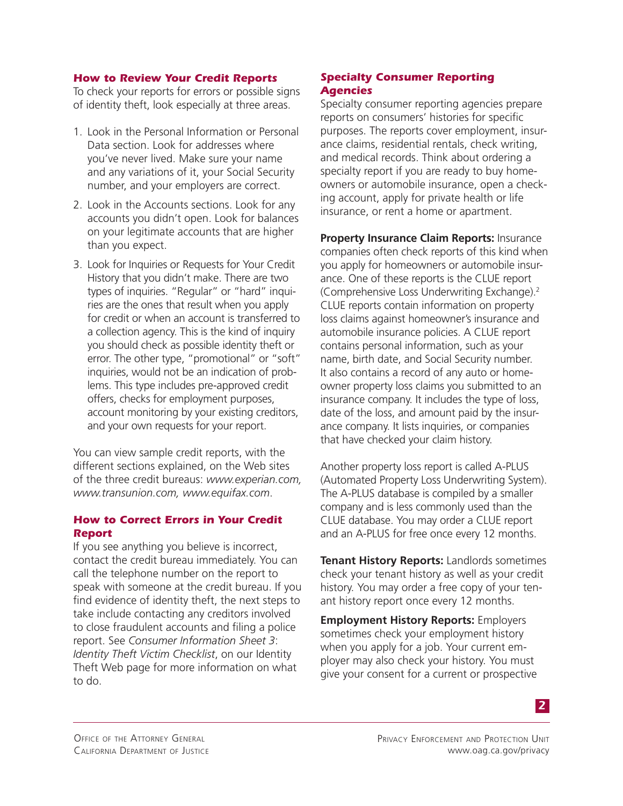#### *How to Review Your Credit Reports*

To check your reports for errors or possible signs of identity theft, look especially at three areas.

- 1. Look in the Personal Information or Personal Data section. Look for addresses where you've never lived. Make sure your name and any variations of it, your Social Security number, and your employers are correct.
- 2. Look in the Accounts sections. Look for any accounts you didn't open. Look for balances on your legitimate accounts that are higher than you expect.
- 3. Look for Inquiries or Requests for Your Credit History that you didn't make. There are two types of inquiries. "Regular" or "hard" inquiries are the ones that result when you apply for credit or when an account is transferred to a collection agency. This is the kind of inquiry you should check as possible identity theft or error. The other type, "promotional" or "soft" inquiries, would not be an indication of problems. This type includes pre-approved credit offers, checks for employment purposes, account monitoring by your existing creditors, and your own requests for your report.

You can view sample credit reports, with the different sections explained, on the Web sites of the three credit bureaus: *www.experian.com, www.transunion.com, www.equifax.com*.

#### *How to Correct Errors in Your Credit Report*

If you see anything you believe is incorrect, contact the credit bureau immediately. You can call the telephone number on the report to speak with someone at the credit bureau. If you find evidence of identity theft, the next steps to take include contacting any creditors involved to close fraudulent accounts and filing a police report. See *Consumer Information Sheet 3*: *Identity Theft Victim Checklist*, on our Identity Theft Web page for more information on what to do.

#### *Specialty Consumer Reporting Agencies*

Specialty consumer reporting agencies prepare reports on consumers' histories for specific purposes. The reports cover employment, insurance claims, residential rentals, check writing, and medical records. Think about ordering a specialty report if you are ready to buy homeowners or automobile insurance, open a checking account, apply for private health or life insurance, or rent a home or apartment.

**Property Insurance Claim Reports:** Insurance companies often check reports of this kind when you apply for homeowners or automobile insurance. One of these reports is the CLUE report (Comprehensive Loss Underwriting Exchange).2 CLUE reports contain information on property loss claims against homeowner's insurance and automobile insurance policies. A CLUE report contains personal information, such as your name, birth date, and Social Security number. It also contains a record of any auto or homeowner property loss claims you submitted to an insurance company. It includes the type of loss, date of the loss, and amount paid by the insurance company. It lists inquiries, or companies that have checked your claim history.

Another property loss report is called A-PLUS (Automated Property Loss Underwriting System). The A-PLUS database is compiled by a smaller company and is less commonly used than the CLUE database. You may order a CLUE report and an A-PLUS for free once every 12 months.

**Tenant History Reports:** Landlords sometimes check your tenant history as well as your credit history. You may order a free copy of your tenant history report once every 12 months.

**Employment History Reports:** Employers sometimes check your employment history when you apply for a job. Your current employer may also check your history. You must give your consent for a current or prospective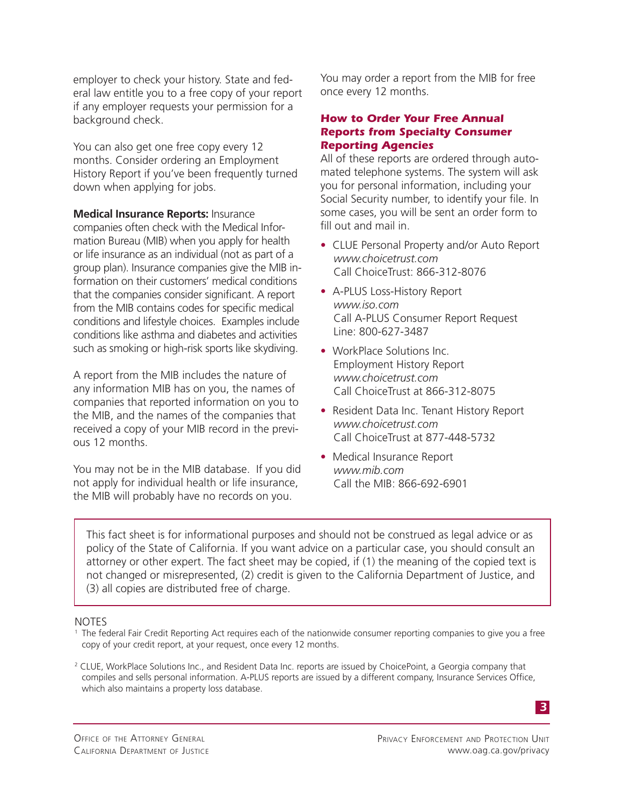employer to check your history. State and federal law entitle you to a free copy of your report if any employer requests your permission for a background check.

You can also get one free copy every 12 months. Consider ordering an Employment History Report if you've been frequently turned down when applying for jobs.

**Medical Insurance Reports:** Insurance companies often check with the Medical Information Bureau (MIB) when you apply for health or life insurance as an individual (not as part of a group plan). Insurance companies give the MIB information on their customers' medical conditions that the companies consider significant. A report from the MIB contains codes for specific medical conditions and lifestyle choices. Examples include conditions like asthma and diabetes and activities such as smoking or high-risk sports like skydiving.

A report from the MIB includes the nature of any information MIB has on you, the names of companies that reported information on you to the MIB, and the names of the companies that received a copy of your MIB record in the previous 12 months.

You may not be in the MIB database. If you did not apply for individual health or life insurance, the MIB will probably have no records on you.

You may order a report from the MIB for free once every 12 months.

#### *How to Order Your Free Annual Reports from Specialty Consumer Reporting Agencies*

All of these reports are ordered through automated telephone systems. The system will ask you for personal information, including your Social Security number, to identify your file. In some cases, you will be sent an order form to fill out and mail in.

- CLUE Personal Property and/or Auto Report *www.choicetrust.com* Call ChoiceTrust: 866-312-8076
- A-PLUS Loss-History Report *www.iso.com* Call A-PLUS Consumer Report Request Line: 800-627-3487
- WorkPlace Solutions Inc. Employment History Report *www.choicetrust.com* Call ChoiceTrust at 866-312-8075
- Resident Data Inc. Tenant History Report *www.choicetrust.com* Call ChoiceTrust at 877-448-5732
- Medical Insurance Report *www.mib.com* Call the MIB: 866-692-6901

This fact sheet is for informational purposes and should not be construed as legal advice or as policy of the State of California. If you want advice on a particular case, you should consult an attorney or other expert. The fact sheet may be copied, if (1) the meaning of the copied text is not changed or misrepresented, (2) credit is given to the California Department of Justice, and (3) all copies are distributed free of charge.

#### NOTES

<sup>1</sup> The federal Fair Credit Reporting Act requires each of the nationwide consumer reporting companies to give you a free copy of your credit report, at your request, once every 12 months.

2 CLUE, WorkPlace Solutions Inc., and Resident Data Inc. reports are issued by ChoicePoint, a Georgia company that compiles and sells personal information. A-PLUS reports are issued by a different company, Insurance Services Office, which also maintains a property loss database.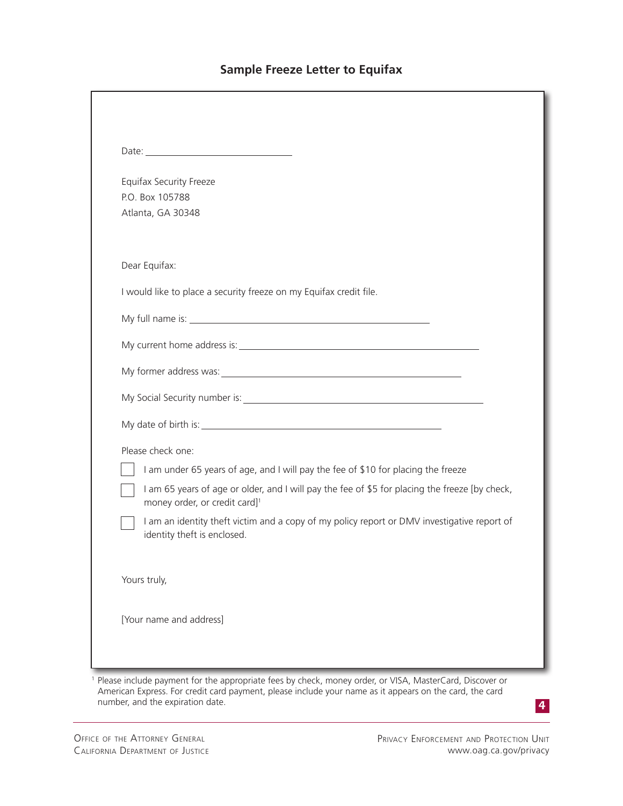# **Sample Freeze Letter to Equifax**

|  | <b>Equifax Security Freeze</b>                                                                                                                                                                                                |  |  |
|--|-------------------------------------------------------------------------------------------------------------------------------------------------------------------------------------------------------------------------------|--|--|
|  | P.O. Box 105788                                                                                                                                                                                                               |  |  |
|  | Atlanta, GA 30348                                                                                                                                                                                                             |  |  |
|  | Dear Equifax:                                                                                                                                                                                                                 |  |  |
|  | I would like to place a security freeze on my Equifax credit file.                                                                                                                                                            |  |  |
|  | My full name is: Note that the state of the state of the state of the state of the state of the state of the state of the state of the state of the state of the state of the state of the state of the state of the state of |  |  |
|  |                                                                                                                                                                                                                               |  |  |
|  |                                                                                                                                                                                                                               |  |  |
|  |                                                                                                                                                                                                                               |  |  |
|  |                                                                                                                                                                                                                               |  |  |
|  | Please check one:                                                                                                                                                                                                             |  |  |
|  | I am under 65 years of age, and I will pay the fee of \$10 for placing the freeze                                                                                                                                             |  |  |
|  | I am 65 years of age or older, and I will pay the fee of \$5 for placing the freeze [by check,<br>money order, or credit card] <sup>1</sup>                                                                                   |  |  |
|  | I am an identity theft victim and a copy of my policy report or DMV investigative report of<br>identity theft is enclosed.                                                                                                    |  |  |
|  | Yours truly,                                                                                                                                                                                                                  |  |  |
|  | [Your name and address]                                                                                                                                                                                                       |  |  |

<sup>1</sup> Please include payment for the appropriate fees by check, money order, or VISA, MasterCard, Discover or American Express. For credit card payment, please include your name as it appears on the card, the card number, and the expiration date.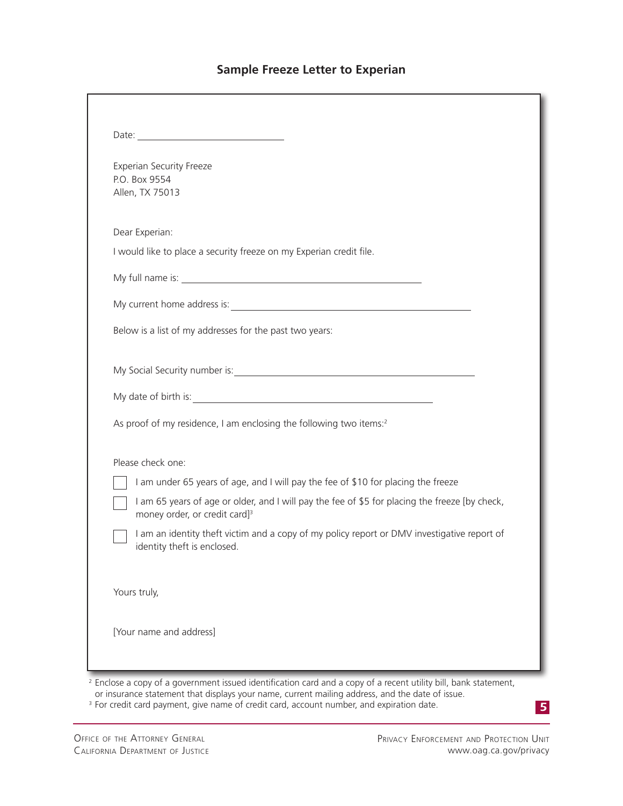# **Sample Freeze Letter to Experian**

| <b>Experian Security Freeze</b>                                                                                                                                                                                                |
|--------------------------------------------------------------------------------------------------------------------------------------------------------------------------------------------------------------------------------|
| P.O. Box 9554                                                                                                                                                                                                                  |
| Allen, TX 75013                                                                                                                                                                                                                |
| Dear Experian:                                                                                                                                                                                                                 |
| I would like to place a security freeze on my Experian credit file.                                                                                                                                                            |
|                                                                                                                                                                                                                                |
|                                                                                                                                                                                                                                |
| Below is a list of my addresses for the past two years:                                                                                                                                                                        |
| My Social Security number is: Note that the second security is a second second to the second second second second second second second second second second second second second second second second second second second sec |
|                                                                                                                                                                                                                                |
| As proof of my residence, I am enclosing the following two items: <sup>2</sup>                                                                                                                                                 |
| Please check one:                                                                                                                                                                                                              |
| I am under 65 years of age, and I will pay the fee of \$10 for placing the freeze                                                                                                                                              |
| I am 65 years of age or older, and I will pay the fee of \$5 for placing the freeze [by check,<br>money order, or credit card] <sup>3</sup>                                                                                    |
| I am an identity theft victim and a copy of my policy report or DMV investigative report of<br>identity theft is enclosed.                                                                                                     |
| Yours truly,                                                                                                                                                                                                                   |
| [Your name and address]                                                                                                                                                                                                        |

<sup>3</sup> For credit card payment, give name of credit card, account number, and expiration date.